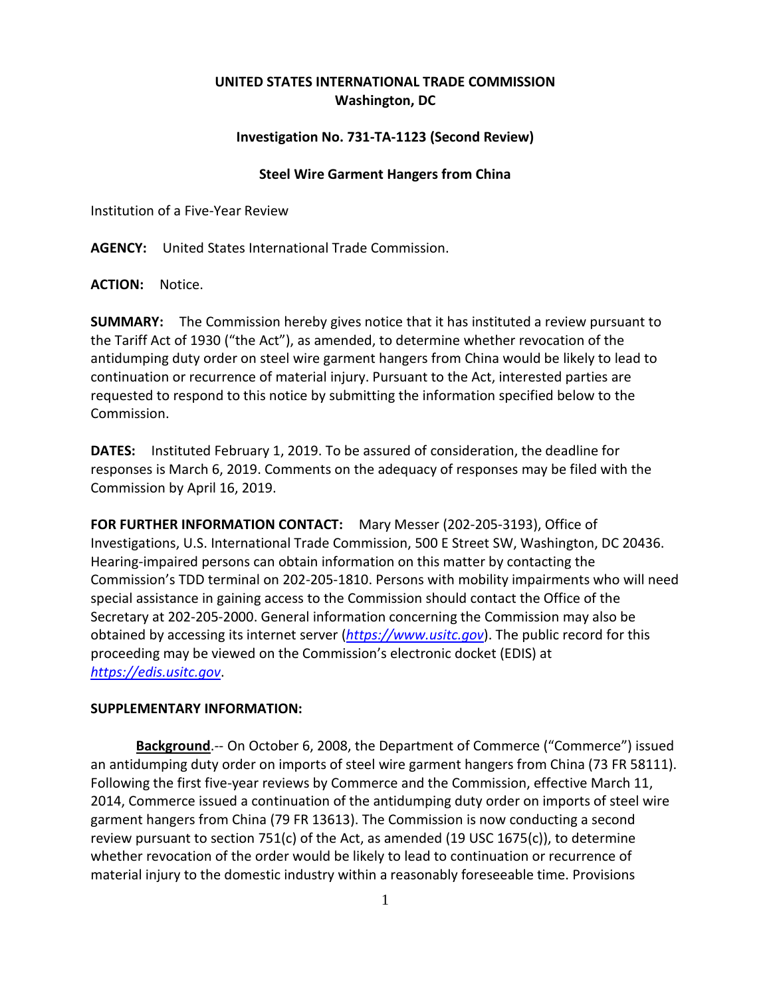## **UNITED STATES INTERNATIONAL TRADE COMMISSION Washington, DC**

## **Investigation No. 731-TA-1123 (Second Review)**

## **Steel Wire Garment Hangers from China**

Institution of a Five-Year Review

**AGENCY:** United States International Trade Commission.

**ACTION:** Notice.

**SUMMARY:** The Commission hereby gives notice that it has instituted a review pursuant to the Tariff Act of 1930 ("the Act"), as amended, to determine whether revocation of the antidumping duty order on steel wire garment hangers from China would be likely to lead to continuation or recurrence of material injury. Pursuant to the Act, interested parties are requested to respond to this notice by submitting the information specified below to the Commission.

**DATES:** Instituted February 1, 2019. To be assured of consideration, the deadline for responses is March 6, 2019. Comments on the adequacy of responses may be filed with the Commission by April 16, 2019.

**FOR FURTHER INFORMATION CONTACT:** Mary Messer (202-205-3193), Office of Investigations, U.S. International Trade Commission, 500 E Street SW, Washington, DC 20436. Hearing-impaired persons can obtain information on this matter by contacting the Commission's TDD terminal on 202-205-1810. Persons with mobility impairments who will need special assistance in gaining access to the Commission should contact the Office of the Secretary at 202-205-2000. General information concerning the Commission may also be obtained by accessing its internet server (*[https://www.usitc.gov](https://www.usitc.gov/)*). The public record for this proceeding may be viewed on the Commission's electronic docket (EDIS) at *[https://edis.usitc.gov](https://edis.usitc.gov/)*.

## **SUPPLEMENTARY INFORMATION:**

**Background**.-- On October 6, 2008, the Department of Commerce ("Commerce") issued an antidumping duty order on imports of steel wire garment hangers from China (73 FR 58111). Following the first five-year reviews by Commerce and the Commission, effective March 11, 2014, Commerce issued a continuation of the antidumping duty order on imports of steel wire garment hangers from China (79 FR 13613). The Commission is now conducting a second review pursuant to section 751(c) of the Act, as amended (19 USC 1675(c)), to determine whether revocation of the order would be likely to lead to continuation or recurrence of material injury to the domestic industry within a reasonably foreseeable time. Provisions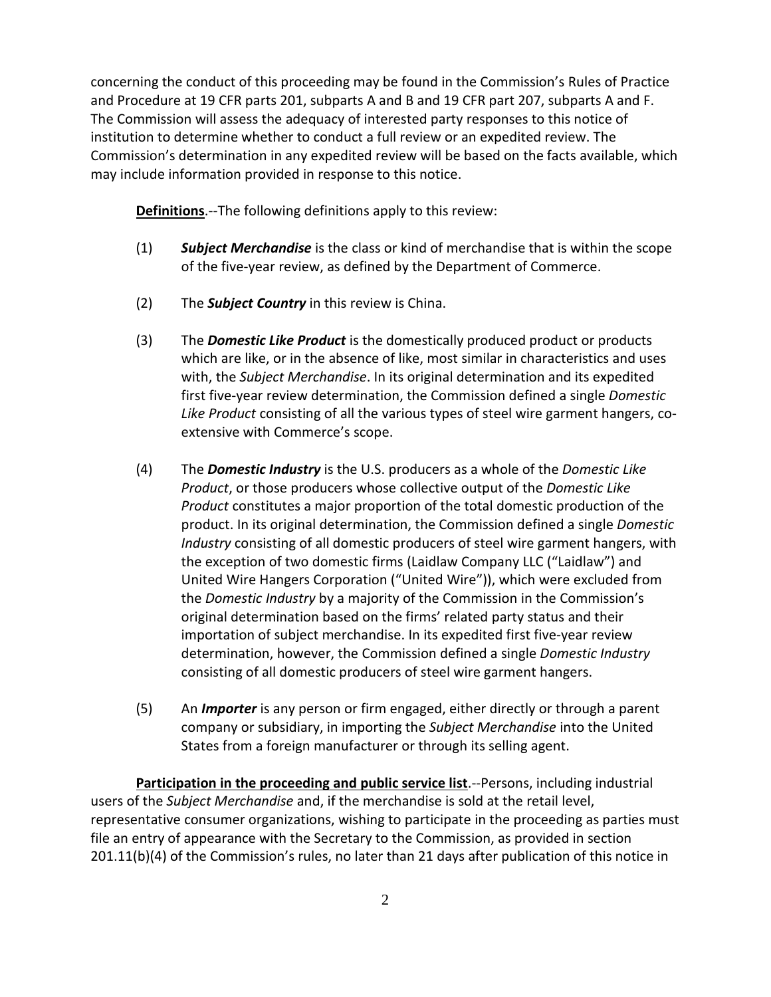concerning the conduct of this proceeding may be found in the Commission's Rules of Practice and Procedure at 19 CFR parts 201, subparts A and B and 19 CFR part 207, subparts A and F. The Commission will assess the adequacy of interested party responses to this notice of institution to determine whether to conduct a full review or an expedited review. The Commission's determination in any expedited review will be based on the facts available, which may include information provided in response to this notice.

**Definitions**.--The following definitions apply to this review:

- (1) *Subject Merchandise* is the class or kind of merchandise that is within the scope of the five-year review, as defined by the Department of Commerce.
- (2) The *Subject Country* in this review is China.
- (3) The *Domestic Like Product* is the domestically produced product or products which are like, or in the absence of like, most similar in characteristics and uses with, the *Subject Merchandise*. In its original determination and its expedited first five-year review determination, the Commission defined a single *Domestic Like Product* consisting of all the various types of steel wire garment hangers, coextensive with Commerce's scope.
- (4) The *Domestic Industry* is the U.S. producers as a whole of the *Domestic Like Product*, or those producers whose collective output of the *Domestic Like Product* constitutes a major proportion of the total domestic production of the product. In its original determination, the Commission defined a single *Domestic Industry* consisting of all domestic producers of steel wire garment hangers, with the exception of two domestic firms (Laidlaw Company LLC ("Laidlaw") and United Wire Hangers Corporation ("United Wire")), which were excluded from the *Domestic Industry* by a majority of the Commission in the Commission's original determination based on the firms' related party status and their importation of subject merchandise. In its expedited first five-year review determination, however, the Commission defined a single *Domestic Industry*  consisting of all domestic producers of steel wire garment hangers.
- (5) An *Importer* is any person or firm engaged, either directly or through a parent company or subsidiary, in importing the *Subject Merchandise* into the United States from a foreign manufacturer or through its selling agent.

**Participation in the proceeding and public service list**.--Persons, including industrial users of the *Subject Merchandise* and, if the merchandise is sold at the retail level, representative consumer organizations, wishing to participate in the proceeding as parties must file an entry of appearance with the Secretary to the Commission, as provided in section 201.11(b)(4) of the Commission's rules, no later than 21 days after publication of this notice in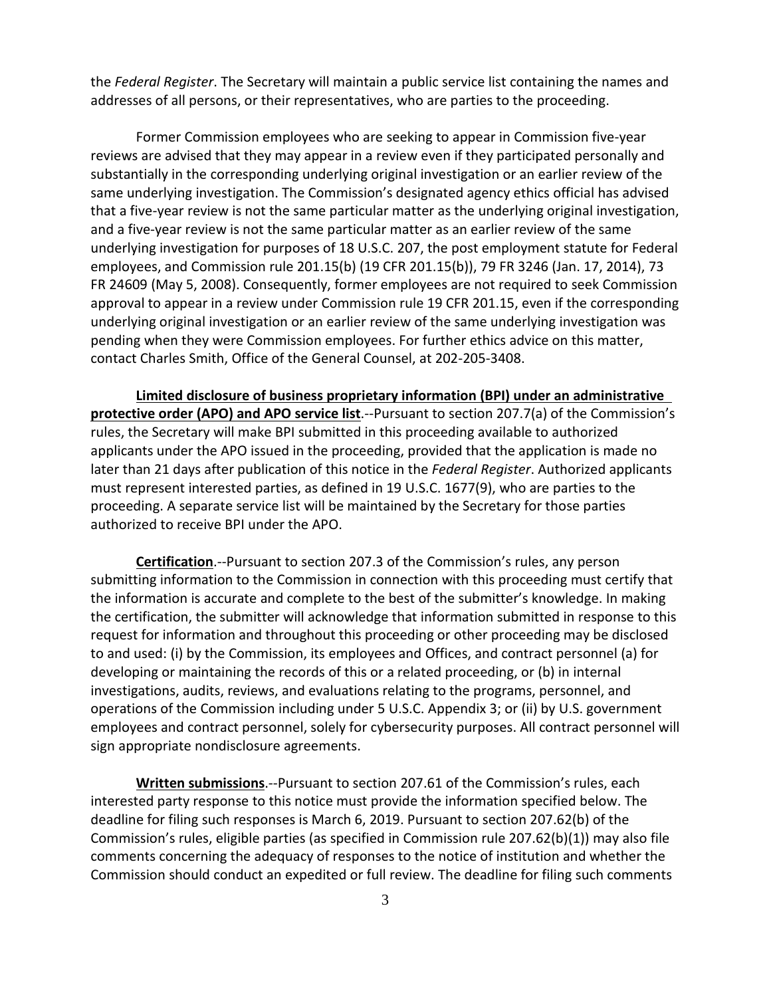the *Federal Register*. The Secretary will maintain a public service list containing the names and addresses of all persons, or their representatives, who are parties to the proceeding.

Former Commission employees who are seeking to appear in Commission five-year reviews are advised that they may appear in a review even if they participated personally and substantially in the corresponding underlying original investigation or an earlier review of the same underlying investigation. The Commission's designated agency ethics official has advised that a five-year review is not the same particular matter as the underlying original investigation, and a five-year review is not the same particular matter as an earlier review of the same underlying investigation for purposes of 18 U.S.C. 207, the post employment statute for Federal employees, and Commission rule 201.15(b) (19 CFR 201.15(b)), 79 FR 3246 (Jan. 17, 2014), 73 FR 24609 (May 5, 2008). Consequently, former employees are not required to seek Commission approval to appear in a review under Commission rule 19 CFR 201.15, even if the corresponding underlying original investigation or an earlier review of the same underlying investigation was pending when they were Commission employees. For further ethics advice on this matter, contact Charles Smith, Office of the General Counsel, at 202-205-3408.

**Limited disclosure of business proprietary information (BPI) under an administrative protective order (APO) and APO service list**.--Pursuant to section 207.7(a) of the Commission's rules, the Secretary will make BPI submitted in this proceeding available to authorized applicants under the APO issued in the proceeding, provided that the application is made no later than 21 days after publication of this notice in the *Federal Register*. Authorized applicants must represent interested parties, as defined in 19 U.S.C. 1677(9), who are parties to the proceeding. A separate service list will be maintained by the Secretary for those parties authorized to receive BPI under the APO.

**Certification**.--Pursuant to section 207.3 of the Commission's rules, any person submitting information to the Commission in connection with this proceeding must certify that the information is accurate and complete to the best of the submitter's knowledge. In making the certification, the submitter will acknowledge that information submitted in response to this request for information and throughout this proceeding or other proceeding may be disclosed to and used: (i) by the Commission, its employees and Offices, and contract personnel (a) for developing or maintaining the records of this or a related proceeding, or (b) in internal investigations, audits, reviews, and evaluations relating to the programs, personnel, and operations of the Commission including under 5 U.S.C. Appendix 3; or (ii) by U.S. government employees and contract personnel, solely for cybersecurity purposes. All contract personnel will sign appropriate nondisclosure agreements.

**Written submissions**.--Pursuant to section 207.61 of the Commission's rules, each interested party response to this notice must provide the information specified below. The deadline for filing such responses is March 6, 2019. Pursuant to section 207.62(b) of the Commission's rules, eligible parties (as specified in Commission rule 207.62(b)(1)) may also file comments concerning the adequacy of responses to the notice of institution and whether the Commission should conduct an expedited or full review. The deadline for filing such comments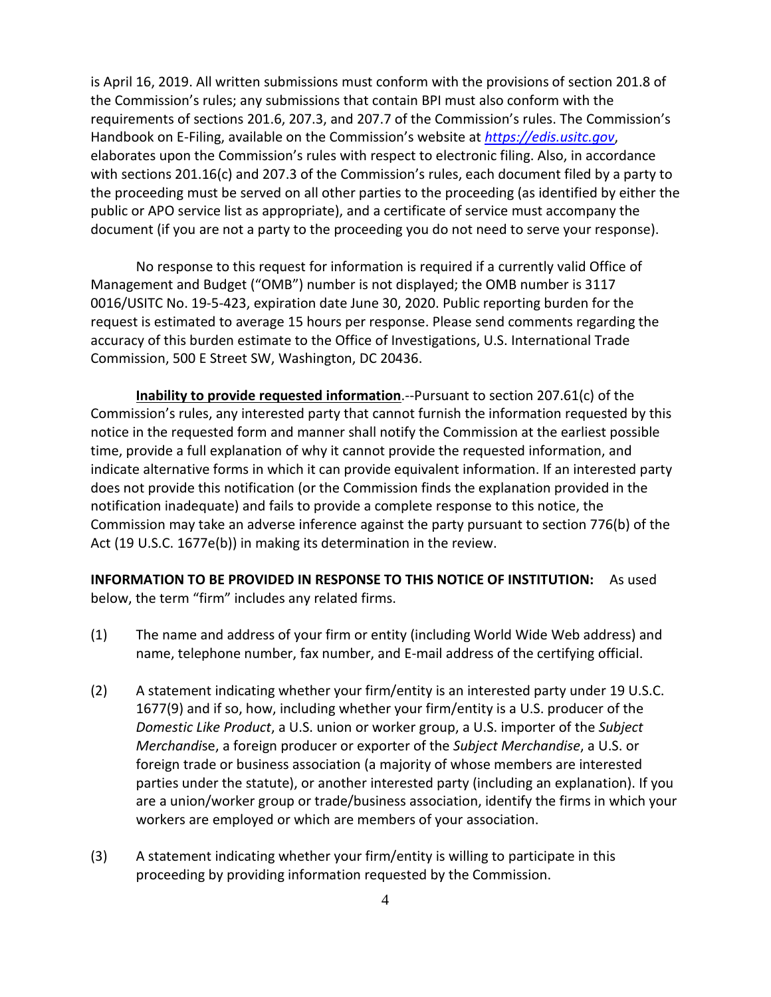is April 16, 2019. All written submissions must conform with the provisions of section 201.8 of the Commission's rules; any submissions that contain BPI must also conform with the requirements of sections 201.6, 207.3, and 207.7 of the Commission's rules. The Commission's Handbook on E-Filing, available on the Commission's website at *[https://edis.usitc.gov](https://edis.usitc.gov/)*, elaborates upon the Commission's rules with respect to electronic filing. Also, in accordance with sections 201.16(c) and 207.3 of the Commission's rules, each document filed by a party to the proceeding must be served on all other parties to the proceeding (as identified by either the public or APO service list as appropriate), and a certificate of service must accompany the document (if you are not a party to the proceeding you do not need to serve your response).

No response to this request for information is required if a currently valid Office of Management and Budget ("OMB") number is not displayed; the OMB number is 3117 0016/USITC No. 19-5-423, expiration date June 30, 2020. Public reporting burden for the request is estimated to average 15 hours per response. Please send comments regarding the accuracy of this burden estimate to the Office of Investigations, U.S. International Trade Commission, 500 E Street SW, Washington, DC 20436.

**Inability to provide requested information**.--Pursuant to section 207.61(c) of the Commission's rules, any interested party that cannot furnish the information requested by this notice in the requested form and manner shall notify the Commission at the earliest possible time, provide a full explanation of why it cannot provide the requested information, and indicate alternative forms in which it can provide equivalent information. If an interested party does not provide this notification (or the Commission finds the explanation provided in the notification inadequate) and fails to provide a complete response to this notice, the Commission may take an adverse inference against the party pursuant to section 776(b) of the Act (19 U.S.C. 1677e(b)) in making its determination in the review.

**INFORMATION TO BE PROVIDED IN RESPONSE TO THIS NOTICE OF INSTITUTION:** As used below, the term "firm" includes any related firms.

- (1) The name and address of your firm or entity (including World Wide Web address) and name, telephone number, fax number, and E-mail address of the certifying official.
- (2) A statement indicating whether your firm/entity is an interested party under 19 U.S.C. 1677(9) and if so, how, including whether your firm/entity is a U.S. producer of the *Domestic Like Product*, a U.S. union or worker group, a U.S. importer of the *Subject Merchandi*se, a foreign producer or exporter of the *Subject Merchandise*, a U.S. or foreign trade or business association (a majority of whose members are interested parties under the statute), or another interested party (including an explanation). If you are a union/worker group or trade/business association, identify the firms in which your workers are employed or which are members of your association.
- (3) A statement indicating whether your firm/entity is willing to participate in this proceeding by providing information requested by the Commission.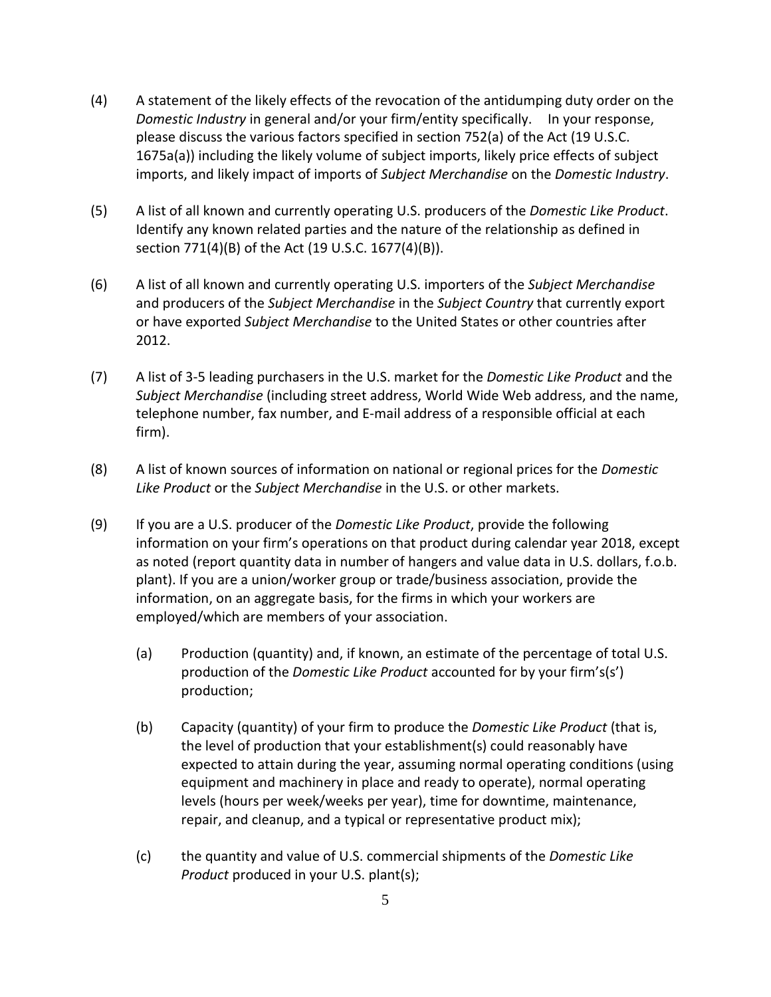- (4) A statement of the likely effects of the revocation of the antidumping duty order on the *Domestic Industry* in general and/or your firm/entity specifically. In your response, please discuss the various factors specified in section 752(a) of the Act (19 U.S.C. 1675a(a)) including the likely volume of subject imports, likely price effects of subject imports, and likely impact of imports of *Subject Merchandise* on the *Domestic Industry*.
- (5) A list of all known and currently operating U.S. producers of the *Domestic Like Product*. Identify any known related parties and the nature of the relationship as defined in section 771(4)(B) of the Act (19 U.S.C. 1677(4)(B)).
- (6) A list of all known and currently operating U.S. importers of the *Subject Merchandise* and producers of the *Subject Merchandise* in the *Subject Country* that currently export or have exported *Subject Merchandise* to the United States or other countries after 2012.
- (7) A list of 3-5 leading purchasers in the U.S. market for the *Domestic Like Product* and the *Subject Merchandise* (including street address, World Wide Web address, and the name, telephone number, fax number, and E-mail address of a responsible official at each firm).
- (8) A list of known sources of information on national or regional prices for the *Domestic Like Product* or the *Subject Merchandise* in the U.S. or other markets.
- (9) If you are a U.S. producer of the *Domestic Like Product*, provide the following information on your firm's operations on that product during calendar year 2018, except as noted (report quantity data in number of hangers and value data in U.S. dollars, f.o.b. plant). If you are a union/worker group or trade/business association, provide the information, on an aggregate basis, for the firms in which your workers are employed/which are members of your association.
	- (a) Production (quantity) and, if known, an estimate of the percentage of total U.S. production of the *Domestic Like Product* accounted for by your firm's(s') production;
	- (b) Capacity (quantity) of your firm to produce the *Domestic Like Product* (that is, the level of production that your establishment(s) could reasonably have expected to attain during the year, assuming normal operating conditions (using equipment and machinery in place and ready to operate), normal operating levels (hours per week/weeks per year), time for downtime, maintenance, repair, and cleanup, and a typical or representative product mix);
	- (c) the quantity and value of U.S. commercial shipments of the *Domestic Like Product* produced in your U.S. plant(s);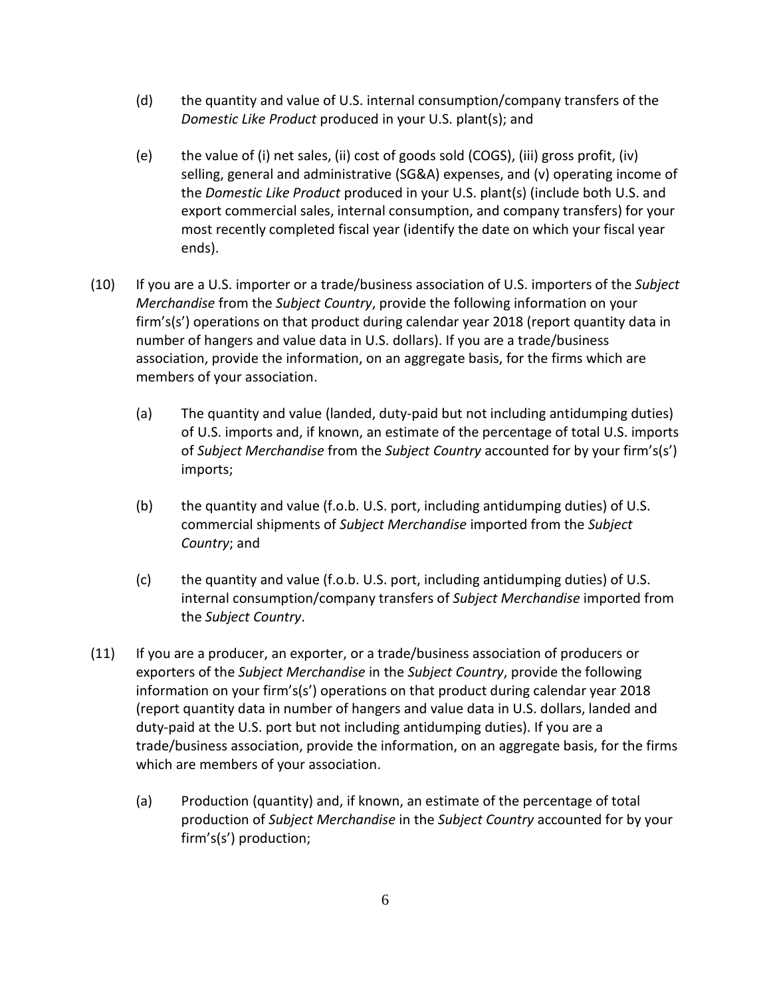- (d) the quantity and value of U.S. internal consumption/company transfers of the *Domestic Like Product* produced in your U.S. plant(s); and
- (e) the value of (i) net sales, (ii) cost of goods sold (COGS), (iii) gross profit, (iv) selling, general and administrative (SG&A) expenses, and (v) operating income of the *Domestic Like Product* produced in your U.S. plant(s) (include both U.S. and export commercial sales, internal consumption, and company transfers) for your most recently completed fiscal year (identify the date on which your fiscal year ends).
- (10) If you are a U.S. importer or a trade/business association of U.S. importers of the *Subject Merchandise* from the *Subject Country*, provide the following information on your firm's(s') operations on that product during calendar year 2018 (report quantity data in number of hangers and value data in U.S. dollars). If you are a trade/business association, provide the information, on an aggregate basis, for the firms which are members of your association.
	- (a) The quantity and value (landed, duty-paid but not including antidumping duties) of U.S. imports and, if known, an estimate of the percentage of total U.S. imports of *Subject Merchandise* from the *Subject Country* accounted for by your firm's(s') imports;
	- (b) the quantity and value (f.o.b. U.S. port, including antidumping duties) of U.S. commercial shipments of *Subject Merchandise* imported from the *Subject Country*; and
	- (c) the quantity and value (f.o.b. U.S. port, including antidumping duties) of U.S. internal consumption/company transfers of *Subject Merchandise* imported from the *Subject Country*.
- (11) If you are a producer, an exporter, or a trade/business association of producers or exporters of the *Subject Merchandise* in the *Subject Country*, provide the following information on your firm's(s') operations on that product during calendar year 2018 (report quantity data in number of hangers and value data in U.S. dollars, landed and duty-paid at the U.S. port but not including antidumping duties). If you are a trade/business association, provide the information, on an aggregate basis, for the firms which are members of your association.
	- (a) Production (quantity) and, if known, an estimate of the percentage of total production of *Subject Merchandise* in the *Subject Country* accounted for by your firm's(s') production;